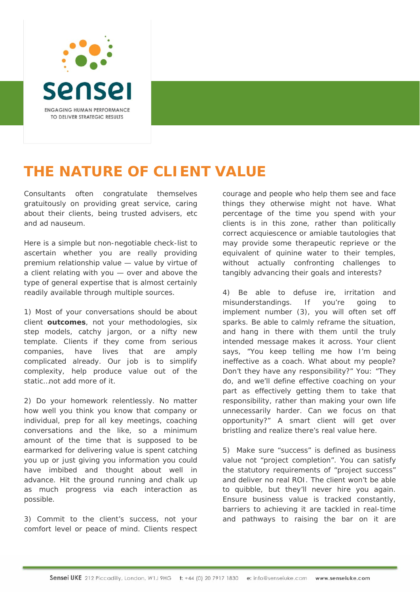

## **THE NATURE OF CLIENT VALUE**

Consultants often congratulate themselves gratuitously on providing great service, caring about their clients, being trusted advisers, etc and ad nauseum.

Here is a simple but non-negotiable check-list to ascertain whether you are really providing premium relationship value — value by virtue of a client *relating* with you — over and above the type of general expertise that is almost certainly readily available through multiple sources.

1) Most of your conversations should be about client **outcomes**, not your methodologies, six step models, catchy jargon, or a nifty new template. Clients if they come from serious companies, have lives that are amply complicated already. Our job is to simplify complexity, help produce value out of the static…not add more of it.

2) Do your homework relentlessly. No matter how well you think you know that company or individual, prep for all key meetings, coaching conversations and the like, so a minimum amount of the time that is supposed to be earmarked for delivering value is spent catching you up or just giving you information you could have imbibed and thought about well in advance. Hit the ground running and chalk up as much progress via each interaction as possible.

3) Commit to the client's success, not your comfort level or peace of mind. Clients respect courage and people who help them see and face things they otherwise might not have. What percentage of the time you spend with your clients is in this zone, rather than politically correct acquiescence or amiable tautologies that may provide some therapeutic reprieve or the equivalent of quinine water to their temples, without actually confronting challenges to tangibly advancing their goals and interests?

4) Be able to defuse ire, irritation and misunderstandings. If you're going to implement number (3), you will often set off sparks. Be able to calmly reframe the situation, and hang in there with them until the truly intended message makes it across. Your client says, "You keep telling me how I'm being ineffective as a coach. What about my people? Don't they have any responsibility?" You: "They do, and we'll define effective coaching on your part as effectively getting them to take that responsibility, rather than making your own life unnecessarily harder. Can we focus on that opportunity?" A smart client will get over bristling and realize there's real value here.

5) Make sure "success" is defined as business value not "project completion". You can satisfy the statutory requirements of "project success" and deliver no real ROI. The client won't be able to quibble, but they'll never hire you again. Ensure business value is tracked constantly, barriers to achieving it are tackled in real-time and pathways to raising the bar on it are